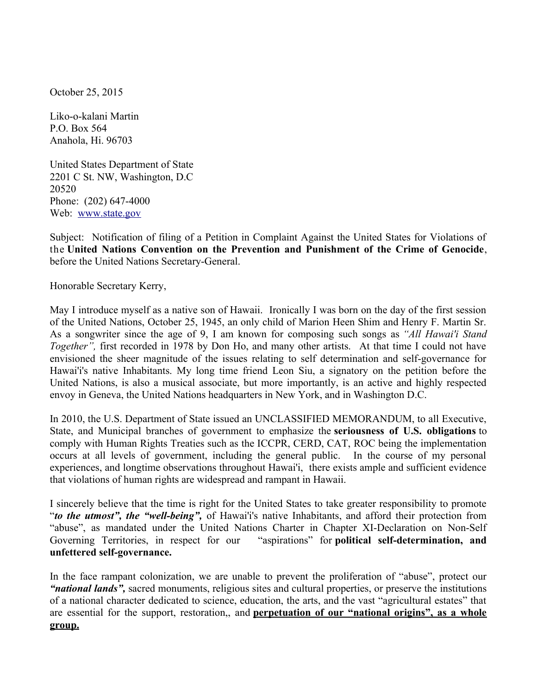October 25, 2015

Liko-o-kalani Martin P.O. Box 564 Anahola, Hi. 96703

United States Department of State 2201 C St. NW, Washington, D.C 20520 Phone: (202) 647-4000 Web: [www.state.gov](http://www.state.gov/)

Subject: Notification of filing of a Petition in Complaint Against the United States for Violations of the **United Nations Convention on the Prevention and Punishment of the Crime of Genocide**, before the United Nations Secretary-General.

Honorable Secretary Kerry,

May I introduce myself as a native son of Hawaii. Ironically I was born on the day of the first session of the United Nations, October 25, 1945, an only child of Marion Heen Shim and Henry F. Martin Sr. As a songwriter since the age of 9, I am known for composing such songs as *"All Hawai'i Stand Together",* first recorded in 1978 by Don Ho, and many other artists. At that time I could not have envisioned the sheer magnitude of the issues relating to self determination and self-governance for Hawai'i's native Inhabitants. My long time friend Leon Siu, a signatory on the petition before the United Nations, is also a musical associate, but more importantly, is an active and highly respected envoy in Geneva, the United Nations headquarters in New York, and in Washington D.C.

In 2010, the U.S. Department of State issued an UNCLASSIFIED MEMORANDUM, to all Executive, State, and Municipal branches of government to emphasize the **seriousness of U.S. obligations** to comply with Human Rights Treaties such as the ICCPR, CERD, CAT, ROC being the implementation occurs at all levels of government, including the general public. In the course of my personal experiences, and longtime observations throughout Hawai'i, there exists ample and sufficient evidence that violations of human rights are widespread and rampant in Hawaii.

I sincerely believe that the time is right for the United States to take greater responsibility to promote "*to the utmost", the "well-being",* of Hawai'i's native Inhabitants, and afford their protection from "abuse", as mandated under the United Nations Charter in Chapter XI-Declaration on Non-Self Governing Territories, in respect for our "aspirations" for **political self-determination, and unfettered self-governance.**

In the face rampant colonization, we are unable to prevent the proliferation of "abuse", protect our *"national lands",* sacred monuments, religious sites and cultural properties, or preserve the institutions of a national character dedicated to science, education, the arts, and the vast "agricultural estates" that are essential for the support, restoration,, and **perpetuation of our "national origins", as a whole group.**